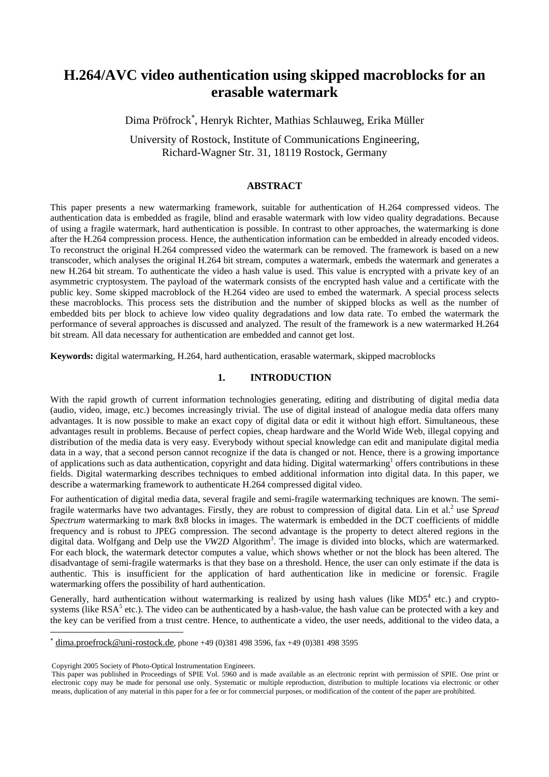# **H.264/AVC video authentication using skipped macroblocks for an erasable watermark**

Dima Pröfrock<sup>∗</sup> , Henryk Richter, Mathias Schlauweg, Erika Müller

University of Rostock, Institute of Communications Engineering, Richard-Wagner Str. 31, 18119 Rostock, Germany

# **ABSTRACT**

This paper presents a new watermarking framework, suitable for authentication of H.264 compressed videos. The authentication data is embedded as fragile, blind and erasable watermark with low video quality degradations. Because of using a fragile watermark, hard authentication is possible. In contrast to other approaches, the watermarking is done after the H.264 compression process. Hence, the authentication information can be embedded in already encoded videos. To reconstruct the original H.264 compressed video the watermark can be removed. The framework is based on a new transcoder, which analyses the original H.264 bit stream, computes a watermark, embeds the watermark and generates a new H.264 bit stream. To authenticate the video a hash value is used. This value is encrypted with a private key of an asymmetric cryptosystem. The payload of the watermark consists of the encrypted hash value and a certificate with the public key. Some skipped macroblock of the H.264 video are used to embed the watermark. A special process selects these macroblocks. This process sets the distribution and the number of skipped blocks as well as the number of embedded bits per block to achieve low video quality degradations and low data rate. To embed the watermark the performance of several approaches is discussed and analyzed. The result of the framework is a new watermarked H.264 bit stream. All data necessary for authentication are embedded and cannot get lost.

**Keywords:** digital watermarking, H.264, hard authentication, erasable watermark, skipped macroblocks

# **1. INTRODUCTION**

With the rapid growth of current information technologies generating, editing and distributing of digital media data (audio, video, image, etc.) becomes increasingly trivial. The use of digital instead of analogue media data offers many advantages. It is now possible to make an exact copy of digital data or edit it without high effort. Simultaneous, these advantages result in problems. Because of perfect copies, cheap hardware and the World Wide Web, illegal copying and distribution of the media data is very easy. Everybody without special knowledge can edit and manipulate digital media data in a way, that a second person cannot recognize if the data is changed or not. Hence, there is a growing importance of applications such as data authentication, copyright and data hiding. Digital watermarking<sup>1</sup> offers contributions in these fields. Digital watermarking describes techniques to embed additional information into digital data. In this paper, we describe a watermarking framework to authenticate H.264 compressed digital video.

For authentication of digital media data, several fragile and semi-fragile watermarking techniques are known. The semifragile watermarks have two advantages. Firstly, they are robust to compression of digital data. Lin et al.<sup>2</sup> use Spread *Spectrum* watermarking to mark 8x8 blocks in images. The watermark is embedded in the DCT coefficients of middle frequency and is robust to JPEG compression. The second advantage is the property to detect altered regions in the digital data. Wolfgang and Delp use the *VW2D* Algorithm<sup>3</sup>. The image is divided into blocks, which are watermarked. For each block, the watermark detector computes a value, which shows whether or not the block has been altered. The disadvantage of semi-fragile watermarks is that they base on a threshold. Hence, the user can only estimate if the data is authentic. This is insufficient for the application of hard authentication like in medicine or forensic. Fragile watermarking offers the possibility of hard authentication.

Generally, hard authentication without watermarking is realized by using hash values (like  $MD5<sup>4</sup>$  etc.) and cryptosystems (like  $RSA^5$  etc.). The video can be authenticated by a hash-value, the hash value can be protected with a key and the key can be verified from a trust centre. Hence, to authenticate a video, the user needs, additional to the video data, a

 $\overline{a}$ 

<sup>∗</sup> dima.proefrock@uni-rostock.de, phone +49 (0)381 498 3596, fax +49 (0)381 498 3595

Copyright 2005 Society of Photo-Optical Instrumentation Engineers.

This paper was published in Proceedings of SPIE Vol. 5960 and is made available as an electronic reprint with permission of SPIE. One print or electronic copy may be made for personal use only. Systematic or multiple reproduction, distribution to multiple locations via electronic or other means, duplication of any material in this paper for a fee or for commercial purposes, or modification of the content of the paper are prohibited.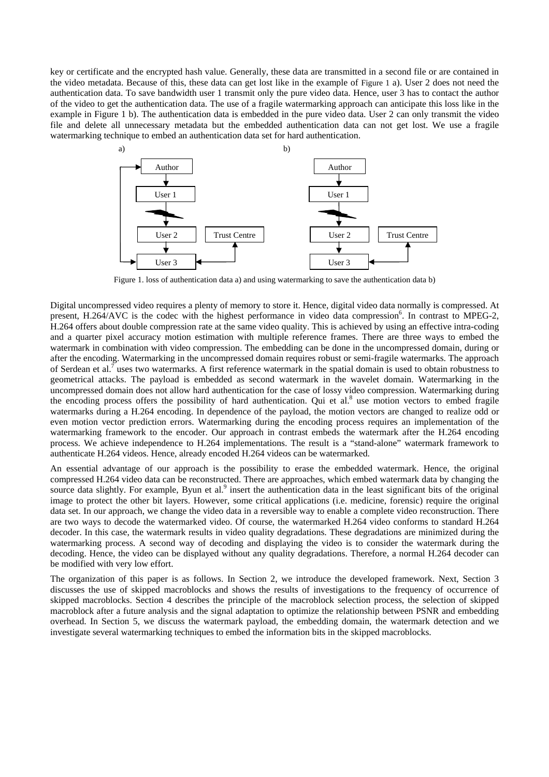key or certificate and the encrypted hash value. Generally, these data are transmitted in a second file or are contained in the video metadata. Because of this, these data can get lost like in the example of Figure 1 a). User 2 does not need the authentication data. To save bandwidth user 1 transmit only the pure video data. Hence, user 3 has to contact the author of the video to get the authentication data. The use of a fragile watermarking approach can anticipate this loss like in the example in Figure 1 b). The authentication data is embedded in the pure video data. User 2 can only transmit the video file and delete all unnecessary metadata but the embedded authentication data can not get lost. We use a fragile watermarking technique to embed an authentication data set for hard authentication.



Figure 1. loss of authentication data a) and using watermarking to save the authentication data b)

Digital uncompressed video requires a plenty of memory to store it. Hence, digital video data normally is compressed. At present, H.264/AVC is the codec with the highest performance in video data compression<sup>6</sup>. In contrast to MPEG-2, H.264 offers about double compression rate at the same video quality. This is achieved by using an effective intra-coding and a quarter pixel accuracy motion estimation with multiple reference frames. There are three ways to embed the watermark in combination with video compression. The embedding can be done in the uncompressed domain, during or after the encoding. Watermarking in the uncompressed domain requires robust or semi-fragile watermarks. The approach of Serdean et al.<sup>7</sup> uses two watermarks. A first reference watermark in the spatial domain is used to obtain robustness to geometrical attacks. The payload is embedded as second watermark in the wavelet domain. Watermarking in the uncompressed domain does not allow hard authentication for the case of lossy video compression. Watermarking during the encoding process offers the possibility of hard authentication. Qui et al. $8$  use motion vectors to embed fragile watermarks during a H.264 encoding. In dependence of the payload, the motion vectors are changed to realize odd or even motion vector prediction errors. Watermarking during the encoding process requires an implementation of the watermarking framework to the encoder. Our approach in contrast embeds the watermark after the H.264 encoding process. We achieve independence to H.264 implementations. The result is a "stand-alone" watermark framework to authenticate H.264 videos. Hence, already encoded H.264 videos can be watermarked.

An essential advantage of our approach is the possibility to erase the embedded watermark. Hence, the original compressed H.264 video data can be reconstructed. There are approaches, which embed watermark data by changing the source data slightly. For example, Byun et al.<sup>9</sup> insert the authentication data in the least significant bits of the original image to protect the other bit layers. However, some critical applications (i.e. medicine, forensic) require the original data set. In our approach, we change the video data in a reversible way to enable a complete video reconstruction. There are two ways to decode the watermarked video. Of course, the watermarked H.264 video conforms to standard H.264 decoder. In this case, the watermark results in video quality degradations. These degradations are minimized during the watermarking process. A second way of decoding and displaying the video is to consider the watermark during the decoding. Hence, the video can be displayed without any quality degradations. Therefore, a normal H.264 decoder can be modified with very low effort.

The organization of this paper is as follows. In Section 2, we introduce the developed framework. Next, Section 3 discusses the use of skipped macroblocks and shows the results of investigations to the frequency of occurrence of skipped macroblocks. Section 4 describes the principle of the macroblock selection process, the selection of skipped macroblock after a future analysis and the signal adaptation to optimize the relationship between PSNR and embedding overhead. In Section 5, we discuss the watermark payload, the embedding domain, the watermark detection and we investigate several watermarking techniques to embed the information bits in the skipped macroblocks.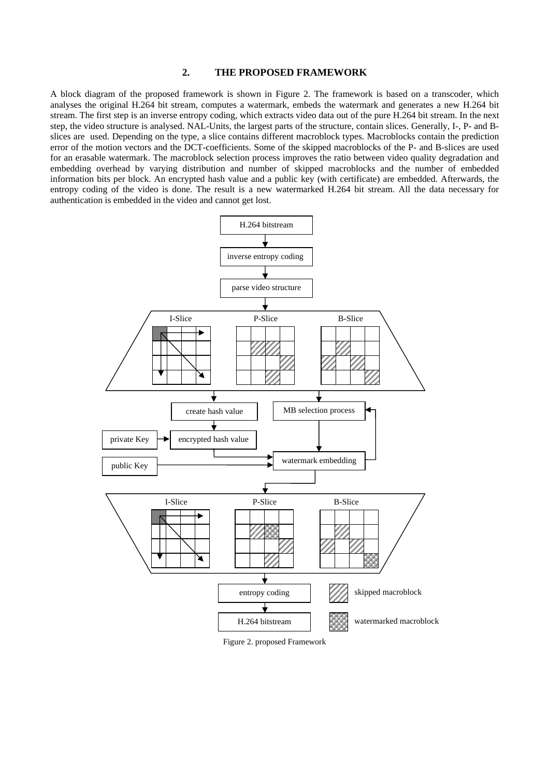#### **2. THE PROPOSED FRAMEWORK**

A block diagram of the proposed framework is shown in Figure 2. The framework is based on a transcoder, which analyses the original H.264 bit stream, computes a watermark, embeds the watermark and generates a new H.264 bit stream. The first step is an inverse entropy coding, which extracts video data out of the pure H.264 bit stream. In the next step, the video structure is analysed. NAL-Units, the largest parts of the structure, contain slices. Generally, I-, P- and Bslices are used. Depending on the type, a slice contains different macroblock types. Macroblocks contain the prediction error of the motion vectors and the DCT-coefficients. Some of the skipped macroblocks of the P- and B-slices are used for an erasable watermark. The macroblock selection process improves the ratio between video quality degradation and embedding overhead by varying distribution and number of skipped macroblocks and the number of embedded information bits per block. An encrypted hash value and a public key (with certificate) are embedded. Afterwards, the entropy coding of the video is done. The result is a new watermarked H.264 bit stream. All the data necessary for authentication is embedded in the video and cannot get lost.



Figure 2. proposed Framework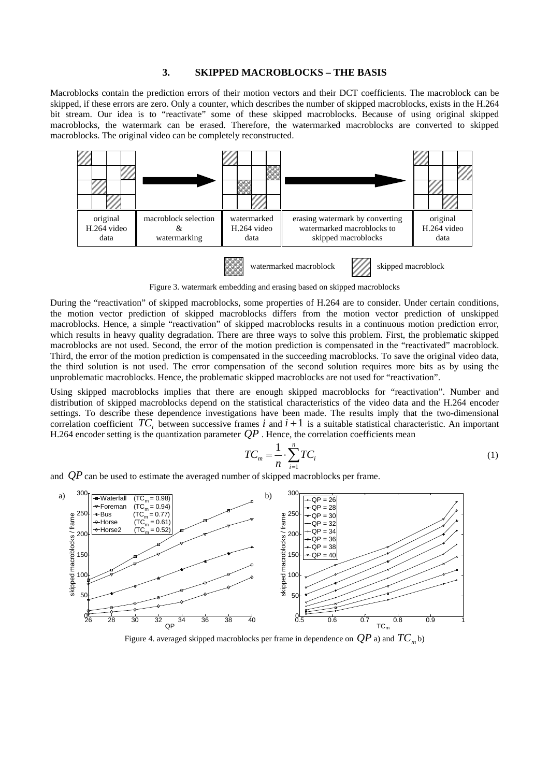## **3. SKIPPED MACROBLOCKS – THE BASIS**

Macroblocks contain the prediction errors of their motion vectors and their DCT coefficients. The macroblock can be skipped, if these errors are zero. Only a counter, which describes the number of skipped macroblocks, exists in the H.264 bit stream. Our idea is to "reactivate" some of these skipped macroblocks. Because of using original skipped macroblocks, the watermark can be erased. Therefore, the watermarked macroblocks are converted to skipped macroblocks. The original video can be completely reconstructed.



Figure 3. watermark embedding and erasing based on skipped macroblocks

During the "reactivation" of skipped macroblocks, some properties of H.264 are to consider. Under certain conditions, the motion vector prediction of skipped macroblocks differs from the motion vector prediction of unskipped macroblocks. Hence, a simple "reactivation" of skipped macroblocks results in a continuous motion prediction error, which results in heavy quality degradation. There are three ways to solve this problem. First, the problematic skipped macroblocks are not used. Second, the error of the motion prediction is compensated in the "reactivated" macroblock. Third, the error of the motion prediction is compensated in the succeeding macroblocks. To save the original video data, the third solution is not used. The error compensation of the second solution requires more bits as by using the unproblematic macroblocks. Hence, the problematic skipped macroblocks are not used for "reactivation".

correlation coefficient  $TC_i$  between successive frames i and  $i+1$  is a suitable statistical characteristic. An important H.264 encoder setting is the quantization parameter  $QP$  . Hence, the correlation coefficients mean Using skipped macroblocks implies that there are enough skipped macroblocks for "reactivation". Number and distribution of skipped macroblocks depend on the statistical characteristics of the video data and the H.264 encoder settings. To describe these dependence investigations have been made. The results imply that the two-dimensional

$$
TC_m = \frac{1}{n} \cdot \sum_{i=1}^{n} TC_i
$$
 (1)

and  $QP$  can be used to estimate the averaged number of skipped macroblocks per frame.



Figure 4. averaged skipped macroblocks per frame in dependence on  $QP$  a) and  $TC_m$  b)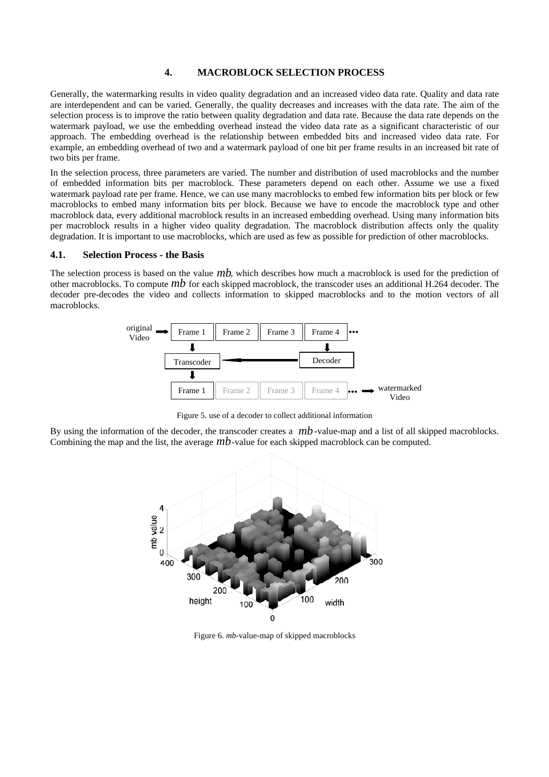## **4. MACROBLOCK SELECTION PROCESS**

Generally, the watermarking results in video quality degradation and an increased video data rate. Quality and data rate are interdependent and can be varied. Generally, the quality decreases and increases with the data rate. The aim of the selection process is to improve the ratio between quality degradation and data rate. Because the data rate depends on the watermark payload, we use the embedding overhead instead the video data rate as a significant characteristic of our approach. The embedding overhead is the relationship between embedded bits and increased video data rate. For example, an embedding overhead of two and a watermark payload of one bit per frame results in an increased bit rate of two bits per frame.

In the selection process, three parameters are varied. The number and distribution of used macroblocks and the number of embedded information bits per macroblock. These parameters depend on each other. Assume we use a fixed watermark payload rate per frame. Hence, we can use many macroblocks to embed few information bits per block or few macroblocks to embed many information bits per block. Because we have to encode the macroblock type and other macroblock data, every additional macroblock results in an increased embedding overhead. Using many information bits per macroblock results in a higher video quality degradation. The macroblock distribution affects only the quality degradation. It is important to use macroblocks, which are used as few as possible for prediction of other macroblocks.

# **4.1. Selection Process - the Basis**

The selection process is based on the value *mb*, which describes how much a macroblock is used for the prediction of other macroblocks. To compute *mb* for each skipped macroblock, the transcoder uses an additional H.264 decoder. The decoder pre-decodes the video and collects information to skipped macroblocks and to the motion vectors of all macroblocks.



Figure 5. use of a decoder to collect additional information

By using the information of the decoder, the transcoder creates a  $mb$ -value-map and a list of all skipped macroblocks. Combining the map and the list, the average  $mb$ -value for each skipped macroblock can be computed.



Figure 6. *mb*-value-map of skipped macroblocks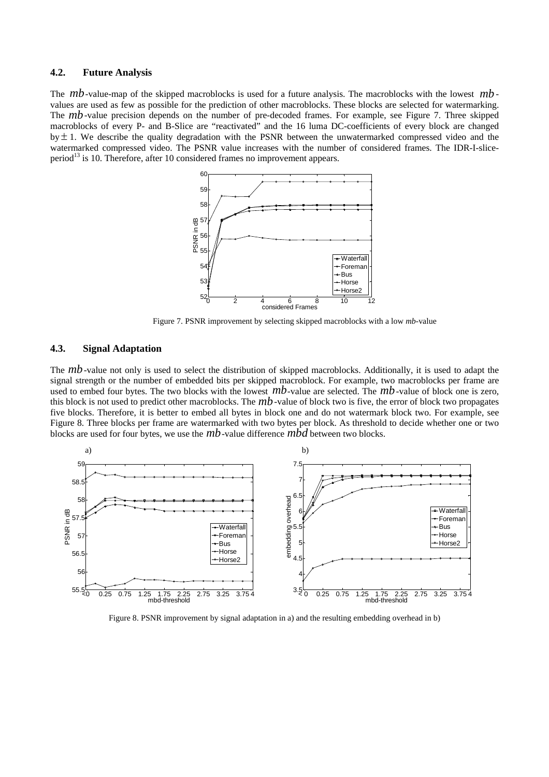## **4.2. Future Analysis**

The  $mb$ -value-map of the skipped macroblocks is used for a future analysis. The macroblocks with the lowest  $mb$ -The *mb*-value precision depends on the number of pre-decoded frames. For example, see Figure 7. Three skipped values are used as few as possible for the prediction of other macroblocks. These blocks are selected for watermarking. macroblocks of every P- and B-Slice are "reactivated" and the 16 luma DC-coefficients of every block are changed  $by \pm 1$ . We describe the quality degradation with the PSNR between the unwatermarked compressed video and the watermarked compressed video. The PSNR value increases with the number of considered frames. The IDR-I-sliceperiod<sup>13</sup> is 10. Therefore, after 10 considered frames no improvement appears.



Figure 7. PSNR improvement by selecting skipped macroblocks with a low *mb*-value

# **4.3. Signal Adaptation**

The *mb*-value not only is used to select the distribution of skipped macroblocks. Additionally, it is used to adapt the used to embed four bytes. The two blocks with the lowest  $mb$ -value are selected. The  $mb$ -value of block one is zero, this block is not used to predict other macroblocks. The *mb*-value of block two is five, the error of block two propagates blocks are used for four bytes, we use the  $mb$ -value difference  $m\dot{b}d$  between two blocks. signal strength or the number of embedded bits per skipped macroblock. For example, two macroblocks per frame are five blocks. Therefore, it is better to embed all bytes in block one and do not watermark block two. For example, see Figure 8. Three blocks per frame are watermarked with two bytes per block. As threshold to decide whether one or two



Figure 8. PSNR improvement by signal adaptation in a) and the resulting embedding overhead in b)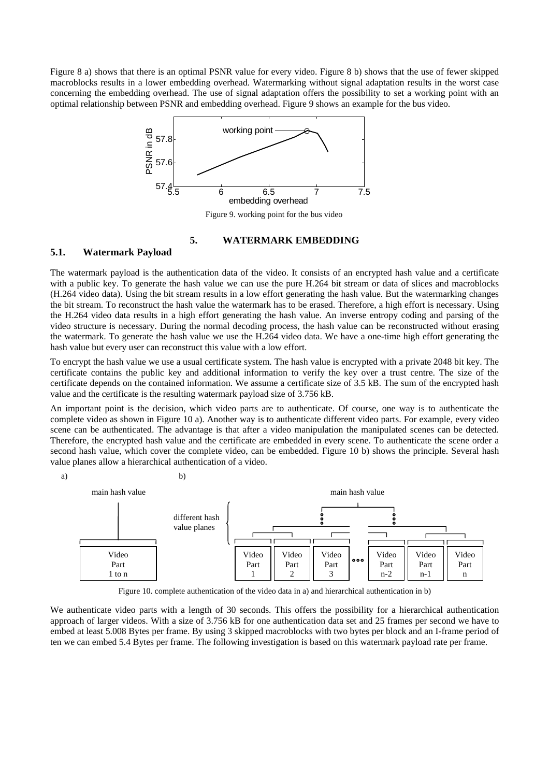Figure 8 a) shows that there is an optimal PSNR value for every video. Figure 8 b) shows that the use of fewer skipped macroblocks results in a lower embedding overhead. Watermarking without signal adaptation results in the worst case concerning the embedding overhead. The use of signal adaptation offers the possibility to set a working point with an optimal relationship between PSNR and embedding overhead. Figure 9 shows an example for the bus video.



Figure 9. working point for the bus video

## **5. WATERMARK EMBEDDING**

## **5.1. Watermark Payload**

The watermark payload is the authentication data of the video. It consists of an encrypted hash value and a certificate with a public key. To generate the hash value we can use the pure H.264 bit stream or data of slices and macroblocks (H.264 video data). Using the bit stream results in a low effort generating the hash value. But the watermarking changes the bit stream. To reconstruct the hash value the watermark has to be erased. Therefore, a high effort is necessary. Using the H.264 video data results in a high effort generating the hash value. An inverse entropy coding and parsing of the video structure is necessary. During the normal decoding process, the hash value can be reconstructed without erasing the watermark. To generate the hash value we use the H.264 video data. We have a one-time high effort generating the hash value but every user can reconstruct this value with a low effort.

To encrypt the hash value we use a usual certificate system. The hash value is encrypted with a private 2048 bit key. The certificate contains the public key and additional information to verify the key over a trust centre. The size of the certificate depends on the contained information. We assume a certificate size of 3.5 kB. The sum of the encrypted hash value and the certificate is the resulting watermark payload size of 3.756 kB.

An important point is the decision, which video parts are to authenticate. Of course, one way is to authenticate the complete video as shown in Figure 10 a). Another way is to authenticate different video parts. For example, every video scene can be authenticated. The advantage is that after a video manipulation the manipulated scenes can be detected. Therefore, the encrypted hash value and the certificate are embedded in every scene. To authenticate the scene order a second hash value, which cover the complete video, can be embedded. Figure 10 b) shows the principle. Several hash value planes allow a hierarchical authentication of a video.



Figure 10. complete authentication of the video data in a) and hierarchical authentication in b)

We authenticate video parts with a length of 30 seconds. This offers the possibility for a hierarchical authentication approach of larger videos. With a size of 3.756 kB for one authentication data set and 25 frames per second we have to embed at least 5.008 Bytes per frame. By using 3 skipped macroblocks with two bytes per block and an I-frame period of ten we can embed 5.4 Bytes per frame. The following investigation is based on this watermark payload rate per frame.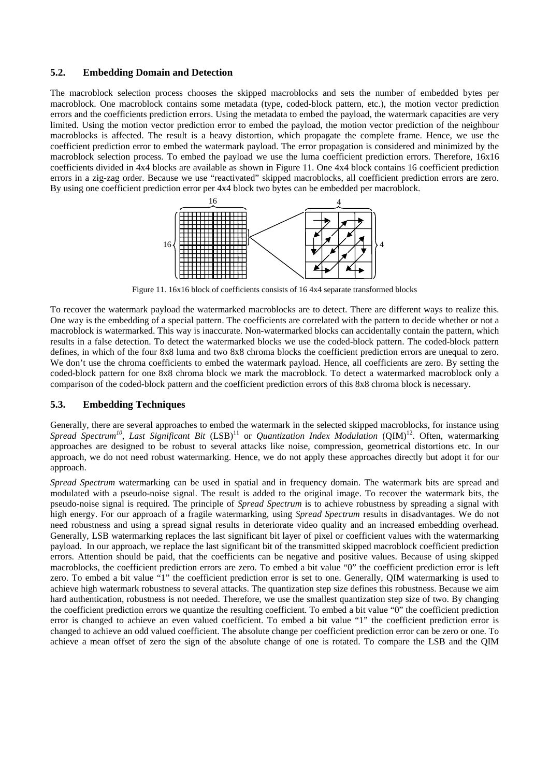## **5.2. Embedding Domain and Detection**

The macroblock selection process chooses the skipped macroblocks and sets the number of embedded bytes per macroblock. One macroblock contains some metadata (type, coded-block pattern, etc.), the motion vector prediction errors and the coefficients prediction errors. Using the metadata to embed the payload, the watermark capacities are very limited. Using the motion vector prediction error to embed the payload, the motion vector prediction of the neighbour macroblocks is affected. The result is a heavy distortion, which propagate the complete frame. Hence, we use the coefficient prediction error to embed the watermark payload. The error propagation is considered and minimized by the macroblock selection process. To embed the payload we use the luma coefficient prediction errors. Therefore, 16x16 coefficients divided in 4x4 blocks are available as shown in Figure 11. One 4x4 block contains 16 coefficient prediction errors in a zig-zag order. Because we use "reactivated" skipped macroblocks, all coefficient prediction errors are zero. By using one coefficient prediction error per 4x4 block two bytes can be embedded per macroblock.



Figure 11. 16x16 block of coefficients consists of 16 4x4 separate transformed blocks

To recover the watermark payload the watermarked macroblocks are to detect. There are different ways to realize this. One way is the embedding of a special pattern. The coefficients are correlated with the pattern to decide whether or not a macroblock is watermarked. This way is inaccurate. Non-watermarked blocks can accidentally contain the pattern, which results in a false detection. To detect the watermarked blocks we use the coded-block pattern. The coded-block pattern defines, in which of the four 8x8 luma and two 8x8 chroma blocks the coefficient prediction errors are unequal to zero. We don't use the chroma coefficients to embed the watermark payload. Hence, all coefficients are zero. By setting the coded-block pattern for one 8x8 chroma block we mark the macroblock. To detect a watermarked macroblock only a comparison of the coded-block pattern and the coefficient prediction errors of this 8x8 chroma block is necessary.

## **5.3. Embedding Techniques**

Generally, there are several approaches to embed the watermark in the selected skipped macroblocks, for instance using *Spread Spectrum<sup>10</sup>, Last Significant Bit* (LSB)<sup>11</sup> or *Quantization Index Modulation* (QIM)<sup>12</sup>. Often, watermarking approaches are designed to be robust to several attacks like noise, compression, geometrical distortions etc. In our approach, we do not need robust watermarking. Hence, we do not apply these approaches directly but adopt it for our approach.

*Spread Spectrum* watermarking can be used in spatial and in frequency domain. The watermark bits are spread and modulated with a pseudo-noise signal. The result is added to the original image. To recover the watermark bits, the pseudo-noise signal is required. The principle of *Spread Spectrum* is to achieve robustness by spreading a signal with high energy. For our approach of a fragile watermarking, using *Spread Spectrum* results in disadvantages. We do not need robustness and using a spread signal results in deteriorate video quality and an increased embedding overhead. Generally, LSB watermarking replaces the last significant bit layer of pixel or coefficient values with the watermarking payload. In our approach, we replace the last significant bit of the transmitted skipped macroblock coefficient prediction errors. Attention should be paid, that the coefficients can be negative and positive values. Because of using skipped macroblocks, the coefficient prediction errors are zero. To embed a bit value "0" the coefficient prediction error is left zero. To embed a bit value "1" the coefficient prediction error is set to one. Generally, QIM watermarking is used to achieve high watermark robustness to several attacks. The quantization step size defines this robustness. Because we aim hard authentication, robustness is not needed. Therefore, we use the smallest quantization step size of two. By changing the coefficient prediction errors we quantize the resulting coefficient. To embed a bit value "0" the coefficient prediction error is changed to achieve an even valued coefficient. To embed a bit value "1" the coefficient prediction error is changed to achieve an odd valued coefficient. The absolute change per coefficient prediction error can be zero or one. To achieve a mean offset of zero the sign of the absolute change of one is rotated. To compare the LSB and the QIM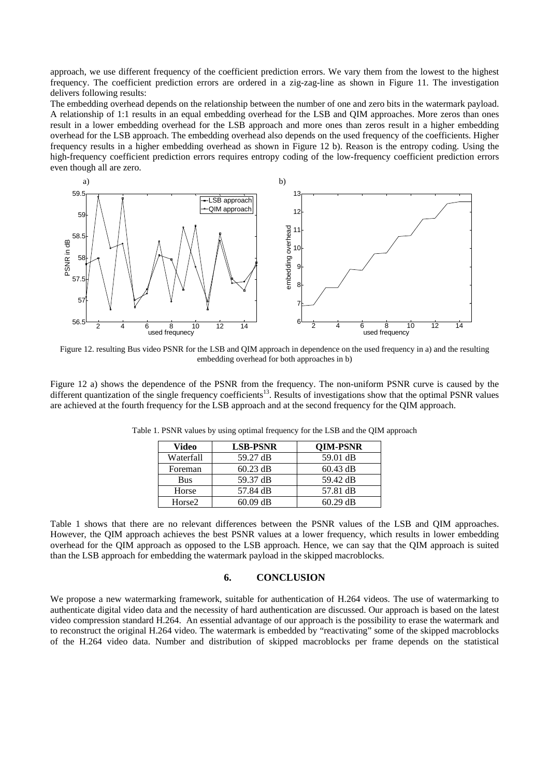approach, we use different frequency of the coefficient prediction errors. We vary them from the lowest to the highest frequency. The coefficient prediction errors are ordered in a zig-zag-line as shown in Figure 11. The investigation delivers following results:

The embedding overhead depends on the relationship between the number of one and zero bits in the watermark payload. A relationship of 1:1 results in an equal embedding overhead for the LSB and QIM approaches. More zeros than ones result in a lower embedding overhead for the LSB approach and more ones than zeros result in a higher embedding overhead for the LSB approach. The embedding overhead also depends on the used frequency of the coefficients. Higher frequency results in a higher embedding overhead as shown in Figure 12 b). Reason is the entropy coding. Using the high-frequency coefficient prediction errors requires entropy coding of the low-frequency coefficient prediction errors even though all are zero.



Figure 12. resulting Bus video PSNR for the LSB and QIM approach in dependence on the used frequency in a) and the resulting embedding overhead for both approaches in b)

Figure 12 a) shows the dependence of the PSNR from the frequency. The non-uniform PSNR curve is caused by the different quantization of the single frequency coefficients<sup>13</sup>. Results of investigations show that the optimal PSNR values are achieved at the fourth frequency for the LSB approach and at the second frequency for the QIM approach.

| Video              | <b>LSB-PSNR</b>    | <b>QIM-PSNR</b> |
|--------------------|--------------------|-----------------|
| Waterfall          | 59.27 dB           | 59.01 dB        |
| Foreman            | $60.23 \text{ dB}$ | $60.43$ dB      |
| <b>Bus</b>         | 59.37 dB           | 59.42 dB        |
| Horse              | 57.84 dB           | 57.81 dB        |
| Horse <sub>2</sub> | $60.09$ dB         | $60.29$ dB      |

Table 1. PSNR values by using optimal frequency for the LSB and the QIM approach

Table 1 shows that there are no relevant differences between the PSNR values of the LSB and QIM approaches. However, the QIM approach achieves the best PSNR values at a lower frequency, which results in lower embedding overhead for the QIM approach as opposed to the LSB approach. Hence, we can say that the QIM approach is suited than the LSB approach for embedding the watermark payload in the skipped macroblocks.

## **6. CONCLUSION**

We propose a new watermarking framework, suitable for authentication of H.264 videos. The use of watermarking to authenticate digital video data and the necessity of hard authentication are discussed. Our approach is based on the latest video compression standard H.264. An essential advantage of our approach is the possibility to erase the watermark and to reconstruct the original H.264 video. The watermark is embedded by "reactivating" some of the skipped macroblocks of the H.264 video data. Number and distribution of skipped macroblocks per frame depends on the statistical